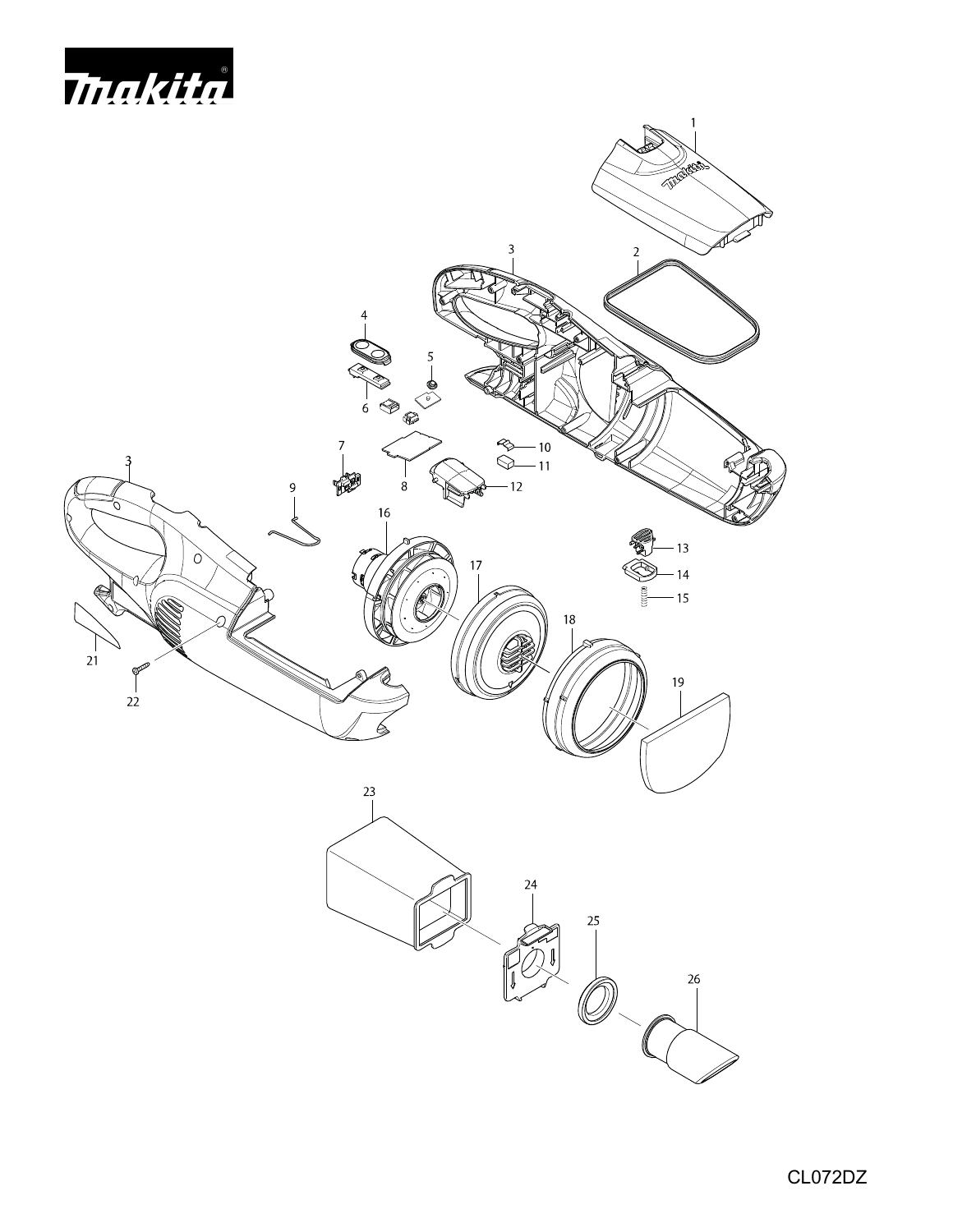